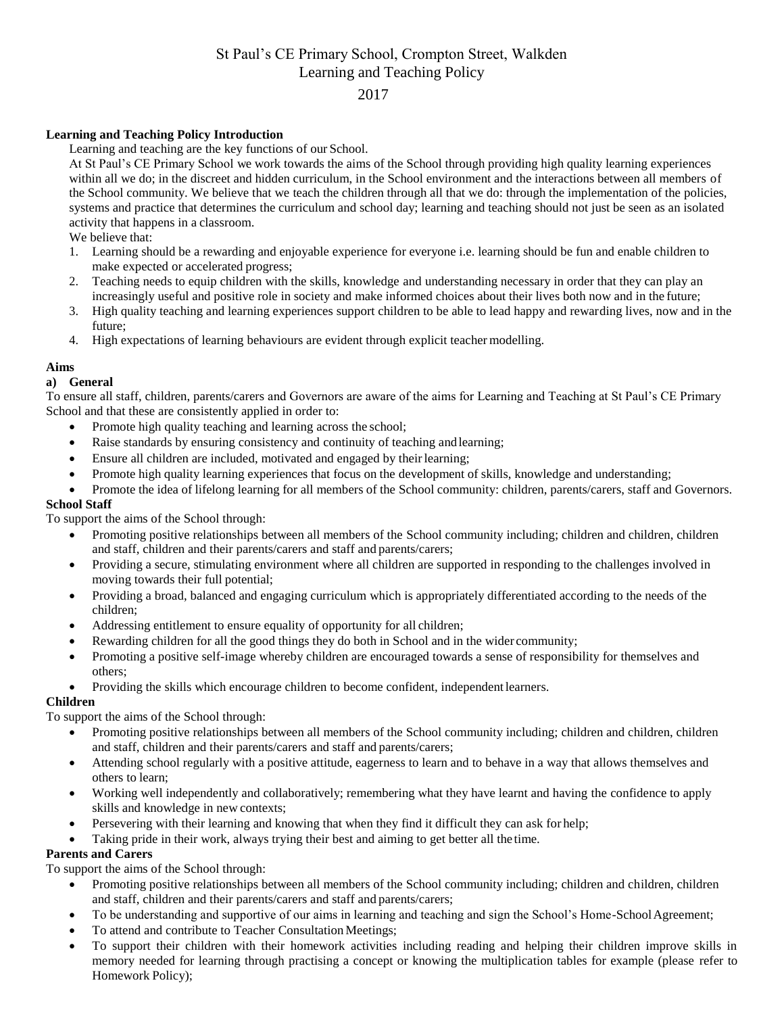# St Paul's CE Primary School, Crompton Street, Walkden Learning and Teaching Policy

# 2017

## **Learning and Teaching Policy Introduction**

Learning and teaching are the key functions of our School.

At St Paul's CE Primary School we work towards the aims of the School through providing high quality learning experiences within all we do; in the discreet and hidden curriculum, in the School environment and the interactions between all members of the School community. We believe that we teach the children through all that we do: through the implementation of the policies, systems and practice that determines the curriculum and school day; learning and teaching should not just be seen as an isolated activity that happens in a classroom.

We believe that:

- 1. Learning should be a rewarding and enjoyable experience for everyone i.e. learning should be fun and enable children to make expected or accelerated progress;
- 2. Teaching needs to equip children with the skills, knowledge and understanding necessary in order that they can play an increasingly useful and positive role in society and make informed choices about their lives both now and in the future;
- 3. High quality teaching and learning experiences support children to be able to lead happy and rewarding lives, now and in the future;
- 4. High expectations of learning behaviours are evident through explicit teacher modelling.

## **Aims**

## **a) General**

To ensure all staff, children, parents/carers and Governors are aware of the aims for Learning and Teaching at St Paul's CE Primary School and that these are consistently applied in order to:

- Promote high quality teaching and learning across the school;
- Raise standards by ensuring consistency and continuity of teaching andlearning;
- Ensure all children are included, motivated and engaged by their learning;
- Promote high quality learning experiences that focus on the development of skills, knowledge and understanding;
- Promote the idea of lifelong learning for all members of the School community: children, parents/carers, staff and Governors. **School Staff**

To support the aims of the School through:

- Promoting positive relationships between all members of the School community including; children and children, children and staff, children and their parents/carers and staff and parents/carers;
- Providing a secure, stimulating environment where all children are supported in responding to the challenges involved in moving towards their full potential;
- Providing a broad, balanced and engaging curriculum which is appropriately differentiated according to the needs of the children;
- Addressing entitlement to ensure equality of opportunity for all children;
- Rewarding children for all the good things they do both in School and in the wider community;
- Promoting a positive self-image whereby children are encouraged towards a sense of responsibility for themselves and others;
- Providing the skills which encourage children to become confident, independent learners.

# **Children**

To support the aims of the School through:

- Promoting positive relationships between all members of the School community including; children and children, children and staff, children and their parents/carers and staff and parents/carers;
- Attending school regularly with a positive attitude, eagerness to learn and to behave in a way that allows themselves and others to learn;
- Working well independently and collaboratively; remembering what they have learnt and having the confidence to apply skills and knowledge in new contexts;
- Persevering with their learning and knowing that when they find it difficult they can ask for help;
- Taking pride in their work, always trying their best and aiming to get better all the time.

# **Parents and Carers**

To support the aims of the School through:

- Promoting positive relationships between all members of the School community including; children and children, children and staff, children and their parents/carers and staff and parents/carers;
- To be understanding and supportive of our aims in learning and teaching and sign the School's Home-SchoolAgreement;
- To attend and contribute to Teacher Consultation Meetings;
- To support their children with their homework activities including reading and helping their children improve skills in memory needed for learning through practising a concept or knowing the multiplication tables for example (please refer to Homework Policy);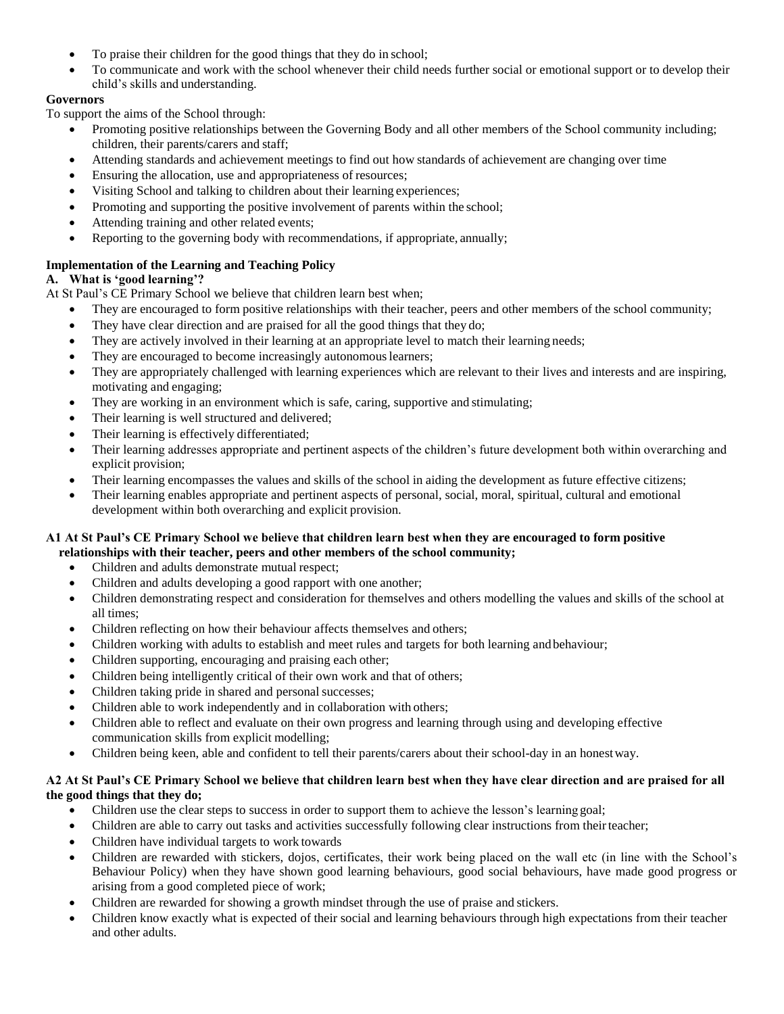- To praise their children for the good things that they do in school;
- To communicate and work with the school whenever their child needs further social or emotional support or to develop their child's skills and understanding.

## **Governors**

To support the aims of the School through:

- Promoting positive relationships between the Governing Body and all other members of the School community including; children, their parents/carers and staff;
- Attending standards and achievement meetings to find out how standards of achievement are changing over time
- Ensuring the allocation, use and appropriateness of resources;
- Visiting School and talking to children about their learning experiences;
- Promoting and supporting the positive involvement of parents within the school;
- Attending training and other related events;
- Reporting to the governing body with recommendations, if appropriate, annually;

# **Implementation of the Learning and Teaching Policy**

## **A. What is 'good learning'?**

At St Paul's CE Primary School we believe that children learn best when;

- They are encouraged to form positive relationships with their teacher, peers and other members of the school community;
- They have clear direction and are praised for all the good things that they do;
- They are actively involved in their learning at an appropriate level to match their learning needs;
- They are encouraged to become increasingly autonomous learners;
- They are appropriately challenged with learning experiences which are relevant to their lives and interests and are inspiring, motivating and engaging;
- They are working in an environment which is safe, caring, supportive and stimulating;
- Their learning is well structured and delivered;
- Their learning is effectively differentiated;
- Their learning addresses appropriate and pertinent aspects of the children's future development both within overarching and explicit provision;
- Their learning encompasses the values and skills of the school in aiding the development as future effective citizens;
- Their learning enables appropriate and pertinent aspects of personal, social, moral, spiritual, cultural and emotional development within both overarching and explicit provision.

## **A1 At St Paul's CE Primary School we believe that children learn best when they are encouraged to form positive relationships with their teacher, peers and other members of the school community;**

- Children and adults demonstrate mutual respect;
- Children and adults developing a good rapport with one another;
- Children demonstrating respect and consideration for themselves and others modelling the values and skills of the school at all times;
- Children reflecting on how their behaviour affects themselves and others;
- Children working with adults to establish and meet rules and targets for both learning andbehaviour;
- Children supporting, encouraging and praising each other;
- Children being intelligently critical of their own work and that of others;
- Children taking pride in shared and personal successes;
- Children able to work independently and in collaboration with others;
- Children able to reflect and evaluate on their own progress and learning through using and developing effective communication skills from explicit modelling;
- Children being keen, able and confident to tell their parents/carers about their school-day in an honestway.

## **A2 At St Paul's CE Primary School we believe that children learn best when they have clear direction and are praised for all the good things that they do;**

- Children use the clear steps to success in order to support them to achieve the lesson's learning goal;
- Children are able to carry out tasks and activities successfully following clear instructions from their teacher;
- Children have individual targets to work towards
- Children are rewarded with stickers, dojos, certificates, their work being placed on the wall etc (in line with the School's Behaviour Policy) when they have shown good learning behaviours, good social behaviours, have made good progress or arising from a good completed piece of work;
- Children are rewarded for showing a growth mindset through the use of praise and stickers.
- Children know exactly what is expected of their social and learning behaviours through high expectations from their teacher and other adults.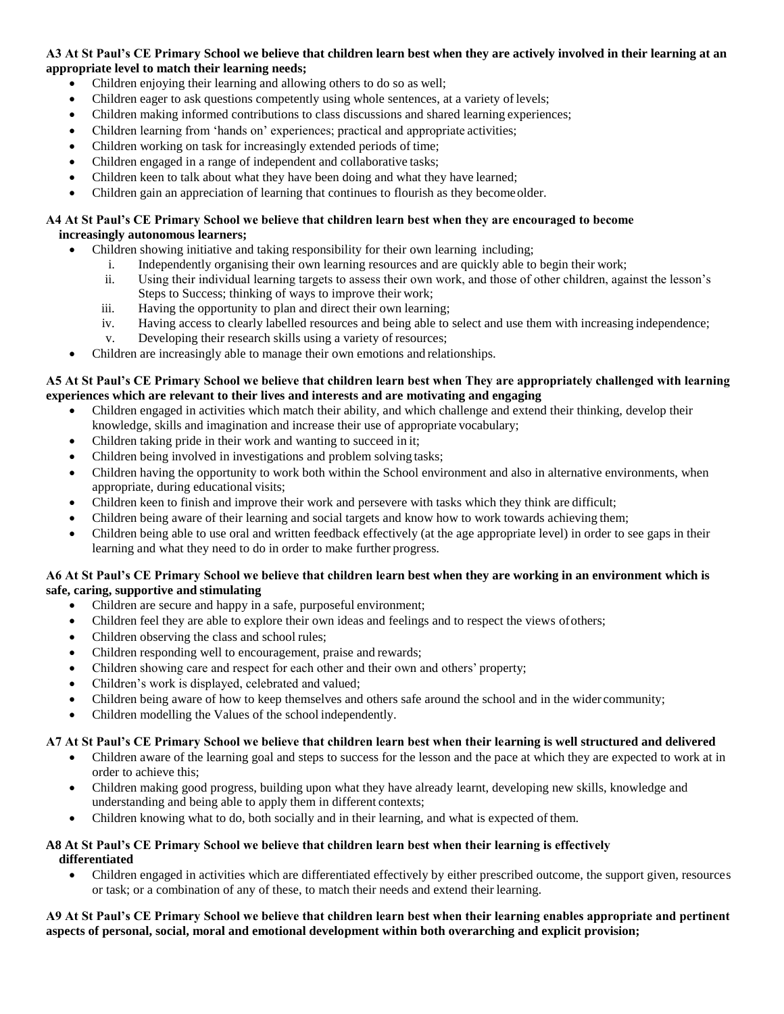## **A3 At St Paul's CE Primary School we believe that children learn best when they are actively involved in their learning at an appropriate level to match their learning needs;**

- Children enjoying their learning and allowing others to do so as well;
- Children eager to ask questions competently using whole sentences, at a variety of levels;
- Children making informed contributions to class discussions and shared learning experiences;
- Children learning from 'hands on' experiences; practical and appropriate activities;
- Children working on task for increasingly extended periods of time;
- Children engaged in a range of independent and collaborative tasks;
- Children keen to talk about what they have been doing and what they have learned;
- Children gain an appreciation of learning that continues to flourish as they becomeolder.

## **A4 At St Paul's CE Primary School we believe that children learn best when they are encouraged to become increasingly autonomous learners;**

- Children showing initiative and taking responsibility for their own learning including;
	- i. Independently organising their own learning resources and are quickly able to begin their work;
	- ii. Using their individual learning targets to assess their own work, and those of other children, against the lesson's Steps to Success; thinking of ways to improve their work;
	- iii. Having the opportunity to plan and direct their own learning;
	- iv. Having access to clearly labelled resources and being able to select and use them with increasing independence;
	- v. Developing their research skills using a variety of resources;
- Children are increasingly able to manage their own emotions and relationships.

## **A5 At St Paul's CE Primary School we believe that children learn best when They are appropriately challenged with learning experiences which are relevant to their lives and interests and are motivating and engaging**

- Children engaged in activities which match their ability, and which challenge and extend their thinking, develop their knowledge, skills and imagination and increase their use of appropriate vocabulary;
- Children taking pride in their work and wanting to succeed in it;
- Children being involved in investigations and problem solving tasks;
- Children having the opportunity to work both within the School environment and also in alternative environments, when appropriate, during educational visits;
- Children keen to finish and improve their work and persevere with tasks which they think are difficult;
- Children being aware of their learning and social targets and know how to work towards achieving them;
- Children being able to use oral and written feedback effectively (at the age appropriate level) in order to see gaps in their learning and what they need to do in order to make further progress.

## **A6 At St Paul's CE Primary School we believe that children learn best when they are working in an environment which is safe, caring, supportive and stimulating**

- Children are secure and happy in a safe, purposeful environment;
- Children feel they are able to explore their own ideas and feelings and to respect the views ofothers;
- Children observing the class and school rules;
- Children responding well to encouragement, praise and rewards;
- Children showing care and respect for each other and their own and others' property;
- Children's work is displayed, celebrated and valued;
- Children being aware of how to keep themselves and others safe around the school and in the wider community;
- Children modelling the Values of the school independently.

## **A7 At St Paul's CE Primary School we believe that children learn best when their learning is well structured and delivered**

- Children aware of the learning goal and steps to success for the lesson and the pace at which they are expected to work at in order to achieve this;
- Children making good progress, building upon what they have already learnt, developing new skills, knowledge and understanding and being able to apply them in different contexts;
- Children knowing what to do, both socially and in their learning, and what is expected of them.

## **A8 At St Paul's CE Primary School we believe that children learn best when their learning is effectively differentiated**

 Children engaged in activities which are differentiated effectively by either prescribed outcome, the support given, resources or task; or a combination of any of these, to match their needs and extend their learning.

## **A9 At St Paul's CE Primary School we believe that children learn best when their learning enables appropriate and pertinent aspects of personal, social, moral and emotional development within both overarching and explicit provision;**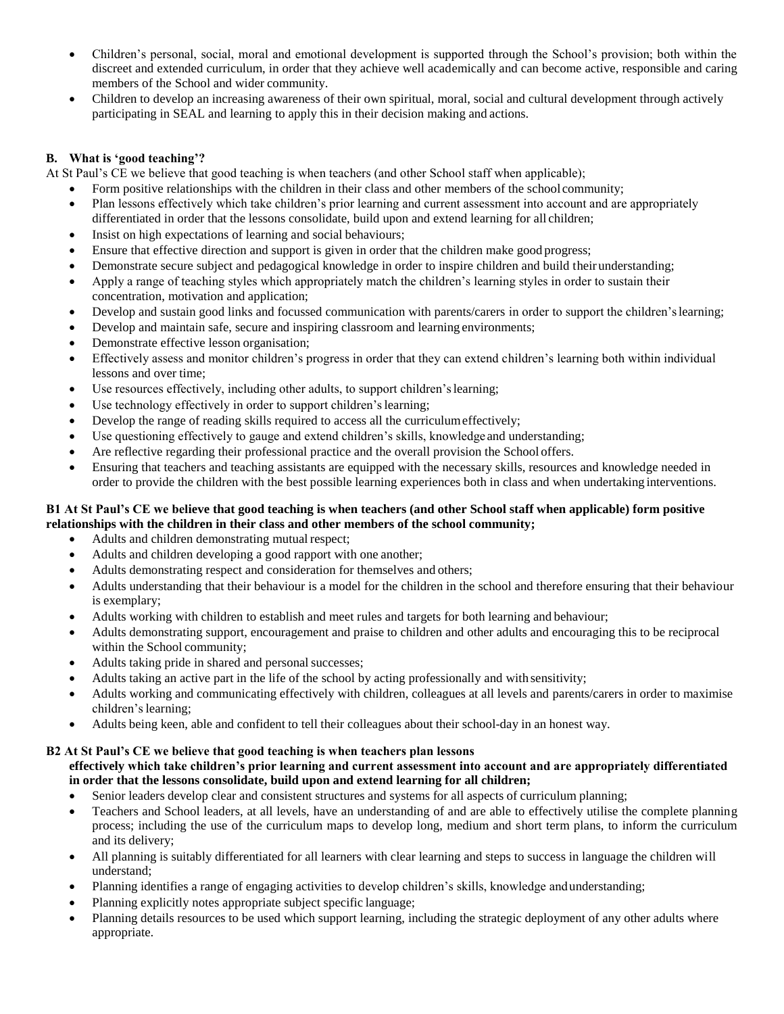- Children's personal, social, moral and emotional development is supported through the School's provision; both within the discreet and extended curriculum, in order that they achieve well academically and can become active, responsible and caring members of the School and wider community.
- Children to develop an increasing awareness of their own spiritual, moral, social and cultural development through actively participating in SEAL and learning to apply this in their decision making and actions.

# **B. What is 'good teaching'?**

At St Paul's CE we believe that good teaching is when teachers (and other School staff when applicable);

- Form positive relationships with the children in their class and other members of the school community;
- Plan lessons effectively which take children's prior learning and current assessment into account and are appropriately differentiated in order that the lessons consolidate, build upon and extend learning for all children;
- Insist on high expectations of learning and social behaviours;
- Ensure that effective direction and support is given in order that the children make good progress;
- Demonstrate secure subject and pedagogical knowledge in order to inspire children and build their understanding;
- Apply a range of teaching styles which appropriately match the children's learning styles in order to sustain their concentration, motivation and application;
- Develop and sustain good links and focussed communication with parents/carers in order to support the children'slearning;
- Develop and maintain safe, secure and inspiring classroom and learning environments;
- Demonstrate effective lesson organisation;
- Effectively assess and monitor children's progress in order that they can extend children's learning both within individual lessons and over time;
- Use resources effectively, including other adults, to support children'slearning;
- Use technology effectively in order to support children's learning;
- Develop the range of reading skills required to access all the curriculumeffectively;
- Use questioning effectively to gauge and extend children's skills, knowledge and understanding;
- Are reflective regarding their professional practice and the overall provision the School offers.
- Ensuring that teachers and teaching assistants are equipped with the necessary skills, resources and knowledge needed in order to provide the children with the best possible learning experiences both in class and when undertaking interventions.

## **B1 At St Paul's CE we believe that good teaching is when teachers (and other School staff when applicable) form positive relationships with the children in their class and other members of the school community;**

- Adults and children demonstrating mutual respect;
- Adults and children developing a good rapport with one another;
- Adults demonstrating respect and consideration for themselves and others;
- Adults understanding that their behaviour is a model for the children in the school and therefore ensuring that their behaviour is exemplary;
- Adults working with children to establish and meet rules and targets for both learning and behaviour;
- Adults demonstrating support, encouragement and praise to children and other adults and encouraging this to be reciprocal within the School community;
- Adults taking pride in shared and personal successes;
- Adults taking an active part in the life of the school by acting professionally and with sensitivity;
- Adults working and communicating effectively with children, colleagues at all levels and parents/carers in order to maximise children's learning;
- Adults being keen, able and confident to tell their colleagues about their school-day in an honest way.

## **B2 At St Paul's CE we believe that good teaching is when teachers plan lessons**

#### **effectively which take children's prior learning and current assessment into account and are appropriately differentiated in order that the lessons consolidate, build upon and extend learning for all children;**

- Senior leaders develop clear and consistent structures and systems for all aspects of curriculum planning;
- Teachers and School leaders, at all levels, have an understanding of and are able to effectively utilise the complete planning process; including the use of the curriculum maps to develop long, medium and short term plans, to inform the curriculum and its delivery;
- All planning is suitably differentiated for all learners with clear learning and steps to success in language the children will understand;
- Planning identifies a range of engaging activities to develop children's skills, knowledge andunderstanding;
- Planning explicitly notes appropriate subject specific language;
- Planning details resources to be used which support learning, including the strategic deployment of any other adults where appropriate.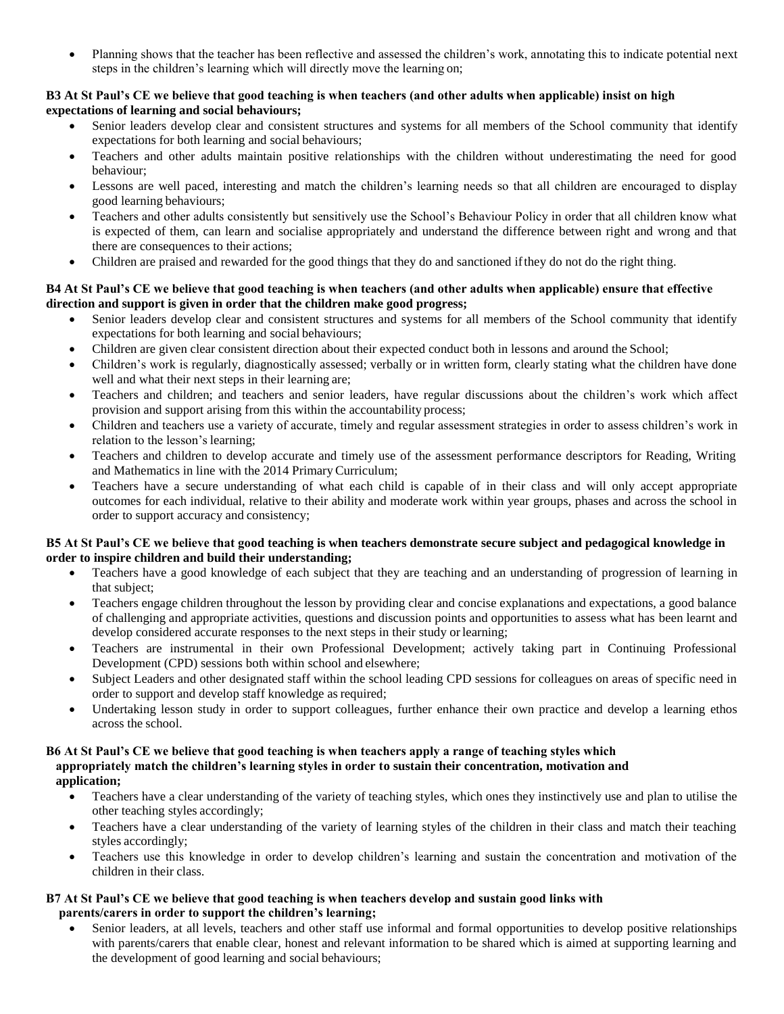Planning shows that the teacher has been reflective and assessed the children's work, annotating this to indicate potential next steps in the children's learning which will directly move the learning on;

#### **B3 At St Paul's CE we believe that good teaching is when teachers (and other adults when applicable) insist on high expectations of learning and social behaviours;**

- Senior leaders develop clear and consistent structures and systems for all members of the School community that identify expectations for both learning and social behaviours;
- Teachers and other adults maintain positive relationships with the children without underestimating the need for good behaviour;
- Lessons are well paced, interesting and match the children's learning needs so that all children are encouraged to display good learning behaviours;
- Teachers and other adults consistently but sensitively use the School's Behaviour Policy in order that all children know what is expected of them, can learn and socialise appropriately and understand the difference between right and wrong and that there are consequences to their actions;
- Children are praised and rewarded for the good things that they do and sanctioned ifthey do not do the right thing.

## **B4 At St Paul's CE we believe that good teaching is when teachers (and other adults when applicable) ensure that effective direction and support is given in order that the children make good progress;**

- Senior leaders develop clear and consistent structures and systems for all members of the School community that identify expectations for both learning and social behaviours;
- Children are given clear consistent direction about their expected conduct both in lessons and around the School;
- Children's work is regularly, diagnostically assessed; verbally or in written form, clearly stating what the children have done well and what their next steps in their learning are;
- Teachers and children; and teachers and senior leaders, have regular discussions about the children's work which affect provision and support arising from this within the accountability process;
- Children and teachers use a variety of accurate, timely and regular assessment strategies in order to assess children's work in relation to the lesson's learning;
- Teachers and children to develop accurate and timely use of the assessment performance descriptors for Reading, Writing and Mathematics in line with the 2014 PrimaryCurriculum;
- Teachers have a secure understanding of what each child is capable of in their class and will only accept appropriate outcomes for each individual, relative to their ability and moderate work within year groups, phases and across the school in order to support accuracy and consistency;

## **B5 At St Paul's CE we believe that good teaching is when teachers demonstrate secure subject and pedagogical knowledge in order to inspire children and build their understanding;**

- Teachers have a good knowledge of each subject that they are teaching and an understanding of progression of learning in that subject;
- Teachers engage children throughout the lesson by providing clear and concise explanations and expectations, a good balance of challenging and appropriate activities, questions and discussion points and opportunities to assess what has been learnt and develop considered accurate responses to the next steps in their study or learning;
- Teachers are instrumental in their own Professional Development; actively taking part in Continuing Professional Development (CPD) sessions both within school and elsewhere;
- Subject Leaders and other designated staff within the school leading CPD sessions for colleagues on areas of specific need in order to support and develop staff knowledge as required;
- Undertaking lesson study in order to support colleagues, further enhance their own practice and develop a learning ethos across the school.

#### **B6 At St Paul's CE we believe that good teaching is when teachers apply a range of teaching styles which appropriately match the children's learning styles in order to sustain their concentration, motivation and application;**

- Teachers have a clear understanding of the variety of teaching styles, which ones they instinctively use and plan to utilise the other teaching styles accordingly;
- Teachers have a clear understanding of the variety of learning styles of the children in their class and match their teaching styles accordingly;
- Teachers use this knowledge in order to develop children's learning and sustain the concentration and motivation of the children in their class.

## **B7 At St Paul's CE we believe that good teaching is when teachers develop and sustain good links with parents/carers in order to support the children's learning;**

 Senior leaders, at all levels, teachers and other staff use informal and formal opportunities to develop positive relationships with parents/carers that enable clear, honest and relevant information to be shared which is aimed at supporting learning and the development of good learning and social behaviours;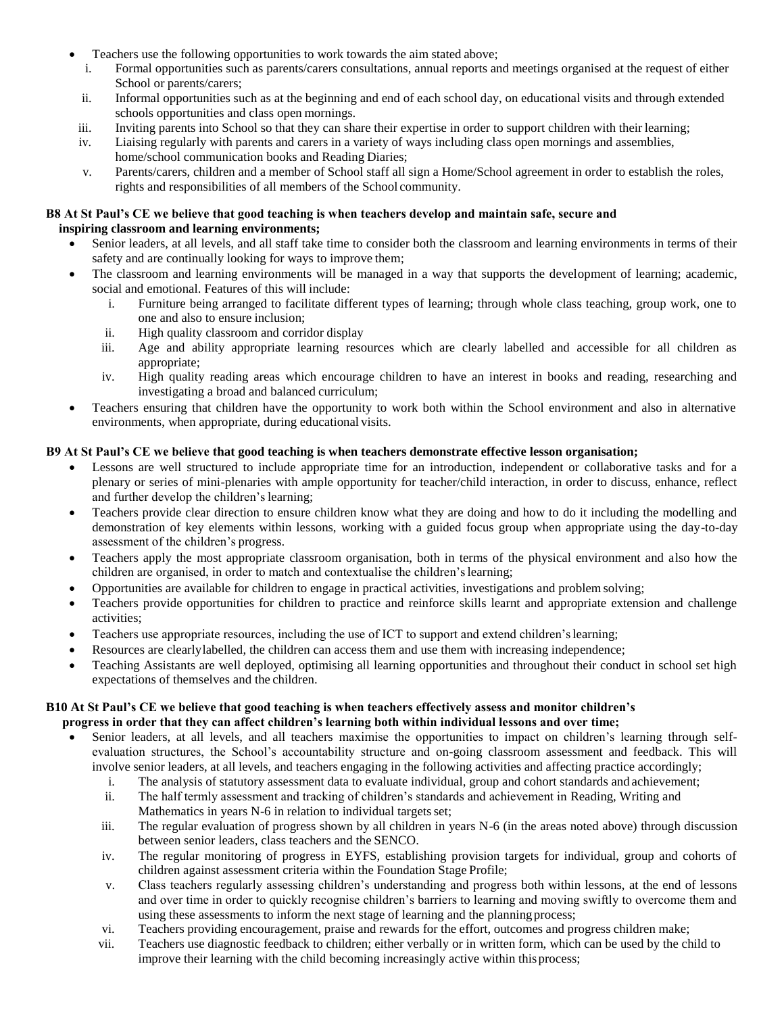- Teachers use the following opportunities to work towards the aim stated above;
	- i. Formal opportunities such as parents/carers consultations, annual reports and meetings organised at the request of either School or parents/carers;
	- ii. Informal opportunities such as at the beginning and end of each school day, on educational visits and through extended schools opportunities and class open mornings.
- iii. Inviting parents into School so that they can share their expertise in order to support children with their learning;
- iv. Liaising regularly with parents and carers in a variety of ways including class open mornings and assemblies, home/school communication books and Reading Diaries;
- v. Parents/carers, children and a member of School staff all sign a Home/School agreement in order to establish the roles, rights and responsibilities of all members of the School community.

#### **B8 At St Paul's CE we believe that good teaching is when teachers develop and maintain safe, secure and inspiring classroom and learning environments;**

- Senior leaders, at all levels, and all staff take time to consider both the classroom and learning environments in terms of their safety and are continually looking for ways to improve them;
- The classroom and learning environments will be managed in a way that supports the development of learning; academic, social and emotional. Features of this will include:
	- i. Furniture being arranged to facilitate different types of learning; through whole class teaching, group work, one to one and also to ensure inclusion;
	- ii. High quality classroom and corridor display
	- iii. Age and ability appropriate learning resources which are clearly labelled and accessible for all children as appropriate;
	- iv. High quality reading areas which encourage children to have an interest in books and reading, researching and investigating a broad and balanced curriculum;
- Teachers ensuring that children have the opportunity to work both within the School environment and also in alternative environments, when appropriate, during educational visits.

## **B9 At St Paul's CE we believe that good teaching is when teachers demonstrate effective lesson organisation;**

- Lessons are well structured to include appropriate time for an introduction, independent or collaborative tasks and for a plenary or series of mini-plenaries with ample opportunity for teacher/child interaction, in order to discuss, enhance, reflect and further develop the children's learning;
- Teachers provide clear direction to ensure children know what they are doing and how to do it including the modelling and demonstration of key elements within lessons, working with a guided focus group when appropriate using the day-to-day assessment of the children's progress.
- Teachers apply the most appropriate classroom organisation, both in terms of the physical environment and also how the children are organised, in order to match and contextualise the children'slearning;
- Opportunities are available for children to engage in practical activities, investigations and problem solving;
- Teachers provide opportunities for children to practice and reinforce skills learnt and appropriate extension and challenge activities;
- Teachers use appropriate resources, including the use of ICT to support and extend children'slearning;
- Resources are clearlylabelled, the children can access them and use them with increasing independence;
- Teaching Assistants are well deployed, optimising all learning opportunities and throughout their conduct in school set high expectations of themselves and the children.

## **B10 At St Paul's CE we believe that good teaching is when teachers effectively assess and monitor children's progress in order that they can affect children's learning both within individual lessons and over time;**

- Senior leaders, at all levels, and all teachers maximise the opportunities to impact on children's learning through selfevaluation structures, the School's accountability structure and on-going classroom assessment and feedback. This will involve senior leaders, at all levels, and teachers engaging in the following activities and affecting practice accordingly;
	- i. The analysis of statutory assessment data to evaluate individual, group and cohort standards and achievement;
	- ii. The half termly assessment and tracking of children's standards and achievement in Reading, Writing and Mathematics in years N-6 in relation to individual targets set;
	- iii. The regular evaluation of progress shown by all children in years N-6 (in the areas noted above) through discussion between senior leaders, class teachers and the SENCO.
	- iv. The regular monitoring of progress in EYFS, establishing provision targets for individual, group and cohorts of children against assessment criteria within the Foundation Stage Profile;
	- v. Class teachers regularly assessing children's understanding and progress both within lessons, at the end of lessons and over time in order to quickly recognise children's barriers to learning and moving swiftly to overcome them and using these assessments to inform the next stage of learning and the planning process;
	- vi. Teachers providing encouragement, praise and rewards for the effort, outcomes and progress children make;
	- vii. Teachers use diagnostic feedback to children; either verbally or in written form, which can be used by the child to improve their learning with the child becoming increasingly active within thisprocess;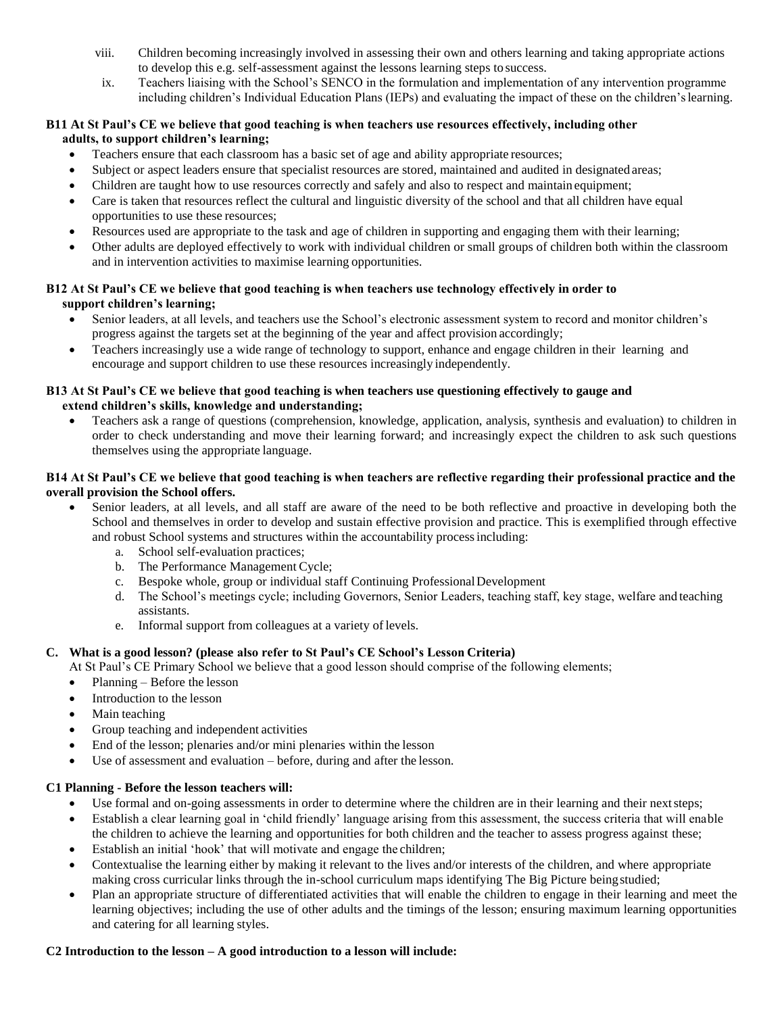- viii. Children becoming increasingly involved in assessing their own and others learning and taking appropriate actions to develop this e.g. self-assessment against the lessons learning steps to success.
- ix. Teachers liaising with the School's SENCO in the formulation and implementation of any intervention programme including children's Individual Education Plans (IEPs) and evaluating the impact of these on the children'slearning.

## **B11 At St Paul's CE we believe that good teaching is when teachers use resources effectively, including other adults, to support children's learning;**

- Teachers ensure that each classroom has a basic set of age and ability appropriate resources;
- Subject or aspect leaders ensure that specialist resources are stored, maintained and audited in designated areas;
- Children are taught how to use resources correctly and safely and also to respect and maintain equipment;
- Care is taken that resources reflect the cultural and linguistic diversity of the school and that all children have equal opportunities to use these resources;
- Resources used are appropriate to the task and age of children in supporting and engaging them with their learning;
- Other adults are deployed effectively to work with individual children or small groups of children both within the classroom and in intervention activities to maximise learning opportunities.

## **B12 At St Paul's CE we believe that good teaching is when teachers use technology effectively in order to support children's learning;**

- Senior leaders, at all levels, and teachers use the School's electronic assessment system to record and monitor children's progress against the targets set at the beginning of the year and affect provision accordingly;
- Teachers increasingly use a wide range of technology to support, enhance and engage children in their learning and encourage and support children to use these resources increasingly independently.

## **B13 At St Paul's CE we believe that good teaching is when teachers use questioning effectively to gauge and extend children's skills, knowledge and understanding;**

 Teachers ask a range of questions (comprehension, knowledge, application, analysis, synthesis and evaluation) to children in order to check understanding and move their learning forward; and increasingly expect the children to ask such questions themselves using the appropriate language.

## **B14 At St Paul's CE we believe that good teaching is when teachers are reflective regarding their professional practice and the overall provision the School offers.**

- Senior leaders, at all levels, and all staff are aware of the need to be both reflective and proactive in developing both the School and themselves in order to develop and sustain effective provision and practice. This is exemplified through effective and robust School systems and structures within the accountability processincluding:
	- a. School self-evaluation practices;
	- b. The Performance Management Cycle;
	- c. Bespoke whole, group or individual staff Continuing ProfessionalDevelopment
	- d. The School's meetings cycle; including Governors, Senior Leaders, teaching staff, key stage, welfare and teaching assistants.
	- e. Informal support from colleagues at a variety of levels.

# **C. What is a good lesson? (please also refer to St Paul's CE School's Lesson Criteria)**

At St Paul's CE Primary School we believe that a good lesson should comprise of the following elements;

- Planning Before the lesson
- Introduction to the lesson
- Main teaching
- Group teaching and independent activities
- End of the lesson; plenaries and/or mini plenaries within the lesson
- Use of assessment and evaluation before, during and after the lesson.

## **C1 Planning - Before the lesson teachers will:**

- Use formal and on-going assessments in order to determine where the children are in their learning and their nextsteps;
- Establish a clear learning goal in 'child friendly' language arising from this assessment, the success criteria that will enable the children to achieve the learning and opportunities for both children and the teacher to assess progress against these;
- Establish an initial 'hook' that will motivate and engage the children;
- Contextualise the learning either by making it relevant to the lives and/or interests of the children, and where appropriate making cross curricular links through the in-school curriculum maps identifying The Big Picture beingstudied;
- Plan an appropriate structure of differentiated activities that will enable the children to engage in their learning and meet the learning objectives; including the use of other adults and the timings of the lesson; ensuring maximum learning opportunities and catering for all learning styles.

## **C2 Introduction to the lesson – A good introduction to a lesson will include:**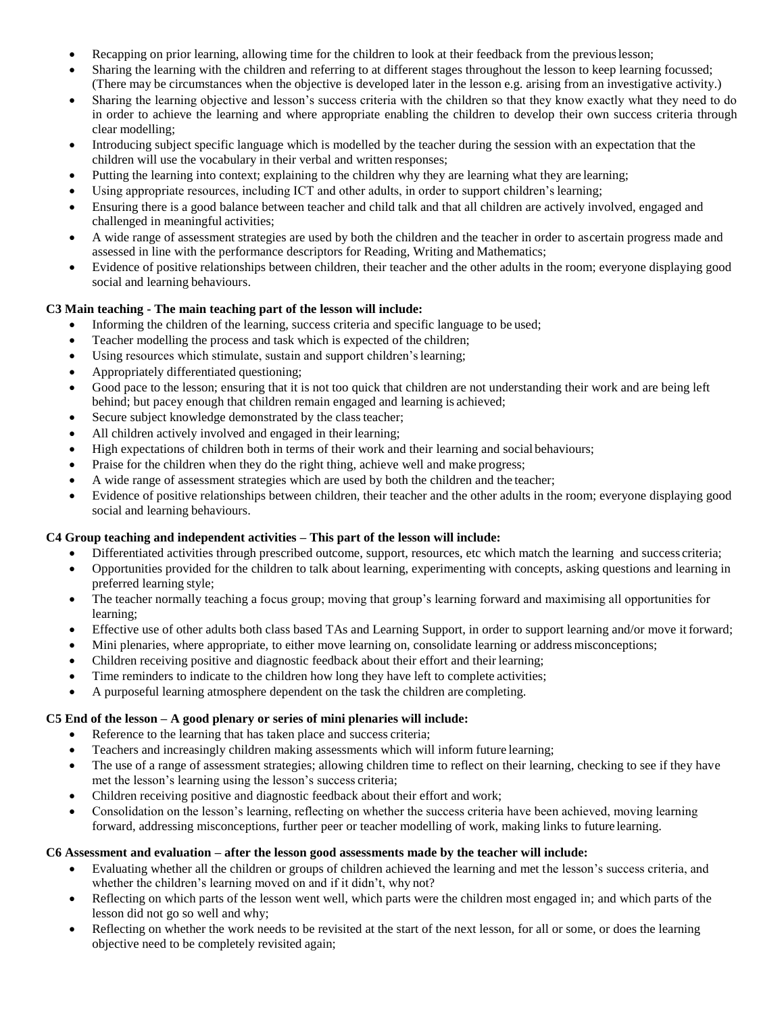- Recapping on prior learning, allowing time for the children to look at their feedback from the previouslesson;
- Sharing the learning with the children and referring to at different stages throughout the lesson to keep learning focussed; (There may be circumstances when the objective is developed later in the lesson e.g. arising from an investigative activity.)
- Sharing the learning objective and lesson's success criteria with the children so that they know exactly what they need to do in order to achieve the learning and where appropriate enabling the children to develop their own success criteria through clear modelling;
- Introducing subject specific language which is modelled by the teacher during the session with an expectation that the children will use the vocabulary in their verbal and written responses;
- Putting the learning into context; explaining to the children why they are learning what they are learning;
- Using appropriate resources, including ICT and other adults, in order to support children's learning;
- Ensuring there is a good balance between teacher and child talk and that all children are actively involved, engaged and challenged in meaningful activities;
- A wide range of assessment strategies are used by both the children and the teacher in order to ascertain progress made and assessed in line with the performance descriptors for Reading, Writing and Mathematics;
- Evidence of positive relationships between children, their teacher and the other adults in the room; everyone displaying good social and learning behaviours.

# **C3 Main teaching - The main teaching part of the lesson will include:**

- Informing the children of the learning, success criteria and specific language to be used;
- Teacher modelling the process and task which is expected of the children;
- Using resources which stimulate, sustain and support children's learning;
- Appropriately differentiated questioning;
- Good pace to the lesson; ensuring that it is not too quick that children are not understanding their work and are being left behind; but pacey enough that children remain engaged and learning is achieved;
- Secure subject knowledge demonstrated by the class teacher;
- All children actively involved and engaged in their learning;
- High expectations of children both in terms of their work and their learning and social behaviours;
- Praise for the children when they do the right thing, achieve well and make progress;
- A wide range of assessment strategies which are used by both the children and the teacher;
- Evidence of positive relationships between children, their teacher and the other adults in the room; everyone displaying good social and learning behaviours.

# **C4 Group teaching and independent activities – This part of the lesson will include:**

- Differentiated activities through prescribed outcome, support, resources, etc which match the learning and success criteria;
- Opportunities provided for the children to talk about learning, experimenting with concepts, asking questions and learning in preferred learning style;
- The teacher normally teaching a focus group; moving that group's learning forward and maximising all opportunities for learning;
- Effective use of other adults both class based TAs and Learning Support, in order to support learning and/or move it forward;
- Mini plenaries, where appropriate, to either move learning on, consolidate learning or address misconceptions;
- Children receiving positive and diagnostic feedback about their effort and their learning;
- Time reminders to indicate to the children how long they have left to complete activities;
- A purposeful learning atmosphere dependent on the task the children are completing.

# **C5 End of the lesson – A good plenary or series of mini plenaries will include:**

- Reference to the learning that has taken place and success criteria;
- Teachers and increasingly children making assessments which will inform future learning;
- The use of a range of assessment strategies; allowing children time to reflect on their learning, checking to see if they have met the lesson's learning using the lesson's success criteria;
- Children receiving positive and diagnostic feedback about their effort and work;
- Consolidation on the lesson's learning, reflecting on whether the success criteria have been achieved, moving learning forward, addressing misconceptions, further peer or teacher modelling of work, making links to future learning.

# **C6 Assessment and evaluation – after the lesson good assessments made by the teacher will include:**

- Evaluating whether all the children or groups of children achieved the learning and met the lesson's success criteria, and whether the children's learning moved on and if it didn't, why not?
- Reflecting on which parts of the lesson went well, which parts were the children most engaged in; and which parts of the lesson did not go so well and why;
- Reflecting on whether the work needs to be revisited at the start of the next lesson, for all or some, or does the learning objective need to be completely revisited again;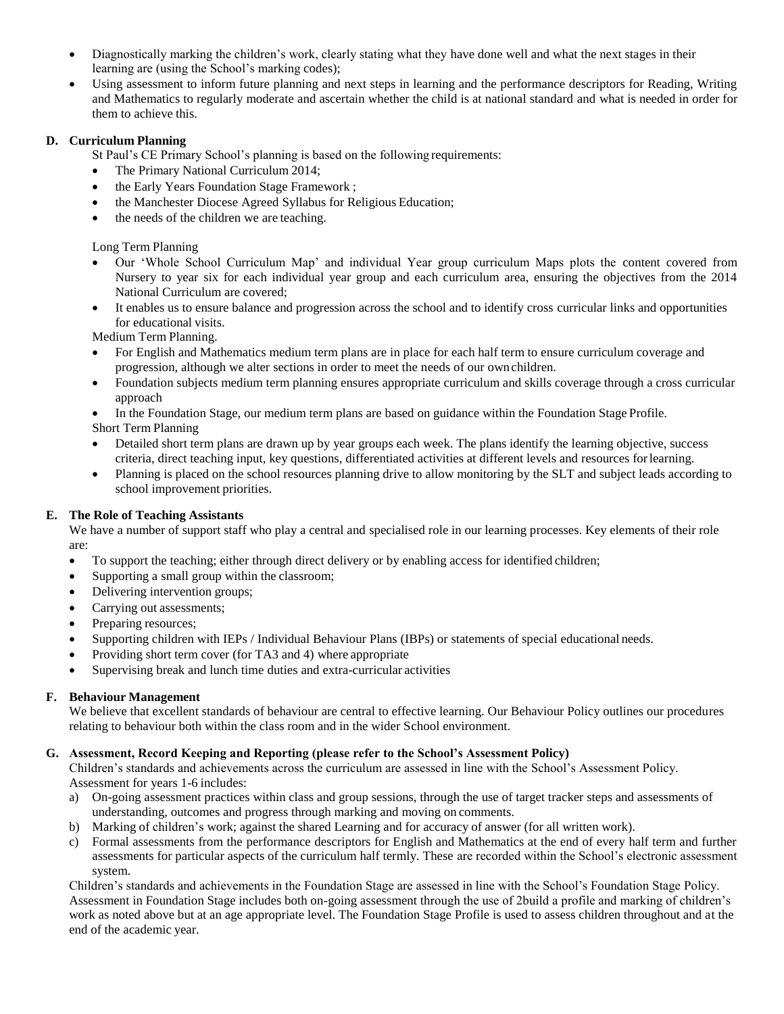- Diagnostically marking the children's work, clearly stating what they have done well and what the next stages in their learning are (using the School's marking codes);
- Using assessment to inform future planning and next steps in learning and the performance descriptors for Reading, Writing and Mathematics to regularly moderate and ascertain whether the child is at national standard and what is needed in order for them to achieve this.

## **D. Curriculum Planning**

St Paul's CE Primary School's planning is based on the following requirements:

- The Primary National Curriculum 2014;
- the Early Years Foundation Stage Framework ;
- the Manchester Diocese Agreed Syllabus for Religious Education;
- the needs of the children we are teaching.

Long Term Planning

- Our 'Whole School Curriculum Map' and individual Year group curriculum Maps plots the content covered from Nursery to year six for each individual year group and each curriculum area, ensuring the objectives from the 2014 National Curriculum are covered;
- It enables us to ensure balance and progression across the school and to identify cross curricular links and opportunities for educational visits.

Medium Term Planning.

- For English and Mathematics medium term plans are in place for each half term to ensure curriculum coverage and progression, although we alter sections in order to meet the needs of our ownchildren.
- Foundation subjects medium term planning ensures appropriate curriculum and skills coverage through a cross curricular approach
- In the Foundation Stage, our medium term plans are based on guidance within the Foundation Stage Profile. Short Term Planning
- Detailed short term plans are drawn up by year groups each week. The plans identify the learning objective, success criteria, direct teaching input, key questions, differentiated activities at different levels and resources forlearning.
- Planning is placed on the school resources planning drive to allow monitoring by the SLT and subject leads according to school improvement priorities.

## **E. The Role of Teaching Assistants**

We have a number of support staff who play a central and specialised role in our learning processes. Key elements of their role are:

- To support the teaching; either through direct delivery or by enabling access for identified children;
- Supporting a small group within the classroom;
- Delivering intervention groups;
- Carrying out assessments;
- Preparing resources;
- Supporting children with IEPs / Individual Behaviour Plans (IBPs) or statements of special educational needs.
- Providing short term cover (for TA3 and 4) where appropriate
- Supervising break and lunch time duties and extra-curricular activities

## **F. Behaviour Management**

We believe that excellent standards of behaviour are central to effective learning. Our Behaviour Policy outlines our procedures relating to behaviour both within the class room and in the wider School environment.

## **G. Assessment, Record Keeping and Reporting (please refer to the School's Assessment Policy)**

Children's standards and achievements across the curriculum are assessed in line with the School's Assessment Policy. Assessment for years 1-6 includes:

- a) On-going assessment practices within class and group sessions, through the use of target tracker steps and assessments of understanding, outcomes and progress through marking and moving on comments.
- b) Marking of children's work; against the shared Learning and for accuracy of answer (for all written work).
- c) Formal assessments from the performance descriptors for English and Mathematics at the end of every half term and further assessments for particular aspects of the curriculum half termly. These are recorded within the School's electronic assessment system.

Children's standards and achievements in the Foundation Stage are assessed in line with the School's Foundation Stage Policy. Assessment in Foundation Stage includes both on-going assessment through the use of 2build a profile and marking of children's work as noted above but at an age appropriate level. The Foundation Stage Profile is used to assess children throughout and at the end of the academic year.